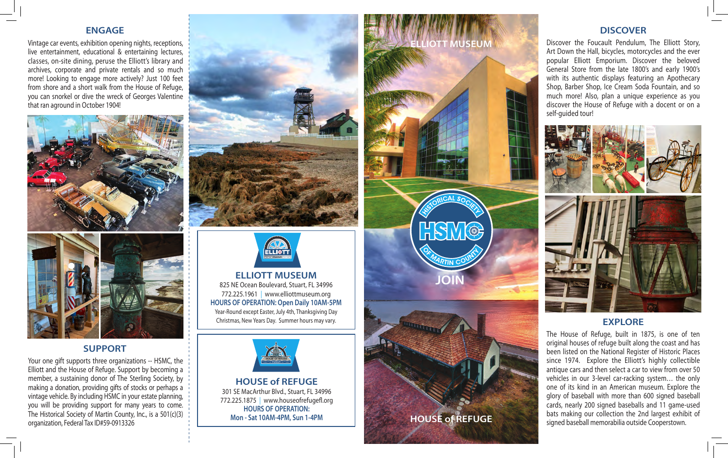#### **ENGAGE**

Vintage car events, exhibition opening nights, receptions, live entertainment, educational & entertaining lectures, classes, on-site dining, peruse the Elliott's library and archives, corporate and private rentals and so much more! Looking to engage more actively? Just 100 feet from shore and a short walk from the House of Refuge, you can snorkel or dive the wreck of Georges Valentine that ran aground in October 1904!





## **SUPPORT**

Your one gift supports three organizations -- HSMC, the Elliott and the House of Refuge. Support by becoming a member, a sustaining donor of The Sterling Society, by making a donation, providing gifts of stocks or perhaps a vintage vehicle. By including HSMC in your estate planning, you will be providing support for many years to come. The Historical Society of Martin County, Inc., is a 501(c)(3) organization, Federal Tax ID#59-0913326





**ELLIOTT MUSEUM** 825 NE Ocean Boulevard, Stuart, FL 34996 772.225.1961 | www.elliottmuseum.org **HOURS OF OPERATION: Open Daily 10AM-5PM** Year-Round except Easter, July 4th, Thanksgiving Day Christmas, New Years Day. Summer hours may vary.



**HOUSE of REFUGE** 301 SE MacArthur Blvd., Stuart, FL 34996 772.225.1875 | www.houseofrefugefl.org **HOURS OF OPERATION: Mon - Sat 10AM-4PM, Sun 1-4PM**

# **MUSEUM**

**HOUSE of REFUGE**

**JOIN**

HSM®

### **DISCOVER**

Discover the Foucault Pendulum, The Elliott Story, Art Down the Hall, bicycles, motorcycles and the ever popular Elliott Emporium. Discover the beloved General Store from the late 1800's and early 1900's with its authentic displays featuring an Apothecary Shop, Barber Shop, Ice Cream Soda Fountain, and so much more! Also, plan a unique experience as you discover the House of Refuge with a docent or on a self-guided tour!





#### **EXPLORE**

The House of Refuge, built in 1875, is one of ten original houses of refuge built along the coast and has been listed on the National Register of Historic Places since 1974. Explore the Elliott's highly collectible antique cars and then select a car to view from over 50 vehicles in our 3-level car-racking system… the only one of its kind in an American museum. Explore the glory of baseball with more than 600 signed baseball cards, nearly 200 signed baseballs and 11 game-used bats making our collection the 2nd largest exhibit of signed baseball memorabilia outside Cooperstown.